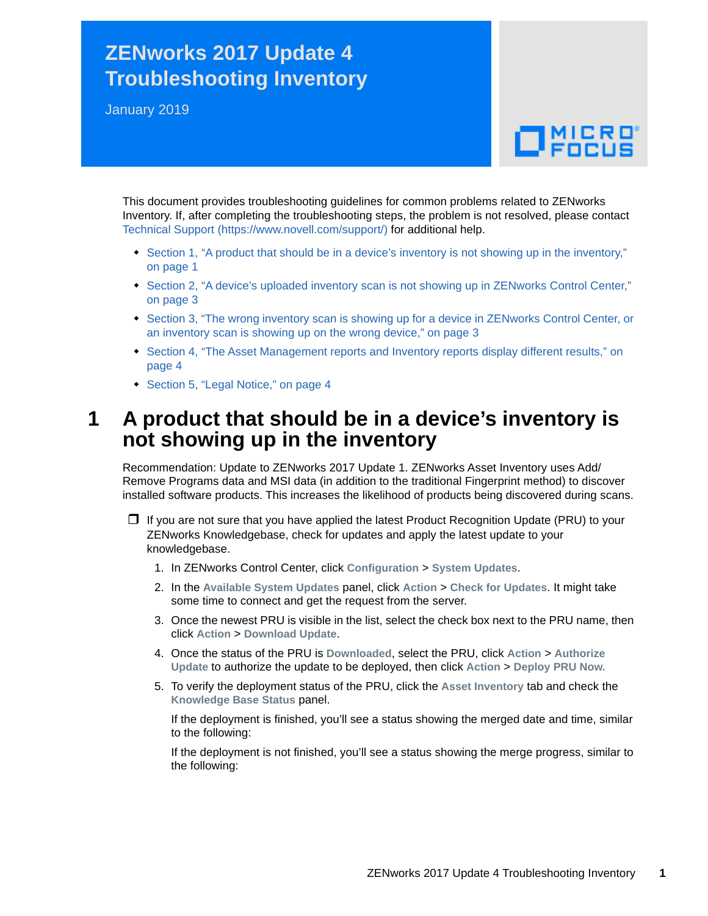# **ZENworks 2017 Update 4 Troubleshooting Inventory**

January 2019

# $\Box$ MICRO

This document provides troubleshooting guidelines for common problems related to ZENworks Inventory. If, after completing the troubleshooting steps, the problem is not resolved, please contact [Technical Support](https://www.novell.com/support/) (https://www.novell.com/support/) for additional help.

- Section 1, "A product that should be in a device's inventory is not showing up in the inventory," [on page 1](#page-0-0)
- [Section 2, "A device's uploaded inventory scan is not showing up in ZENworks Control Center,"](#page-2-0)  [on page 3](#page-2-0)
- [Section 3, "The wrong inventory scan is showing up for a device in ZENworks Control Center, or](#page-2-1)  [an inventory scan is showing up on the wrong device," on page 3](#page-2-1)
- Section 4, "The Asset Management reports and Inventory reports display different results," on [page 4](#page-3-0)
- ◆ [Section 5, "Legal Notice," on page 4](#page-3-1)

# <span id="page-0-0"></span>**1 A product that should be in a device's inventory is not showing up in the inventory**

Recommendation: Update to ZENworks 2017 Update 1. ZENworks Asset Inventory uses Add/ Remove Programs data and MSI data (in addition to the traditional Fingerprint method) to discover installed software products. This increases the likelihood of products being discovered during scans.

 $\Box$  If you are not sure that you have applied the latest Product Recognition Update (PRU) to your ZENworks Knowledgebase, check for updates and apply the latest update to your knowledgebase.

- 1. In ZENworks Control Center, click **Configuration** > **System Updates**.
- 2. In the **Available System Updates** panel, click **Action** > **Check for Updates**. It might take some time to connect and get the request from the server.
- 3. Once the newest PRU is visible in the list, select the check box next to the PRU name, then click **Action** > **Download Update**.
- 4. Once the status of the PRU is **Downloaded**, select the PRU, click **Action** > **Authorize Update** to authorize the update to be deployed, then click **Action** > **Deploy PRU Now.**
- 5. To verify the deployment status of the PRU, click the **Asset Inventory** tab and check the **Knowledge Base Status** panel.

If the deployment is finished, you'll see a status showing the merged date and time, similar to the following:

If the deployment is not finished, you'll see a status showing the merge progress, similar to the following: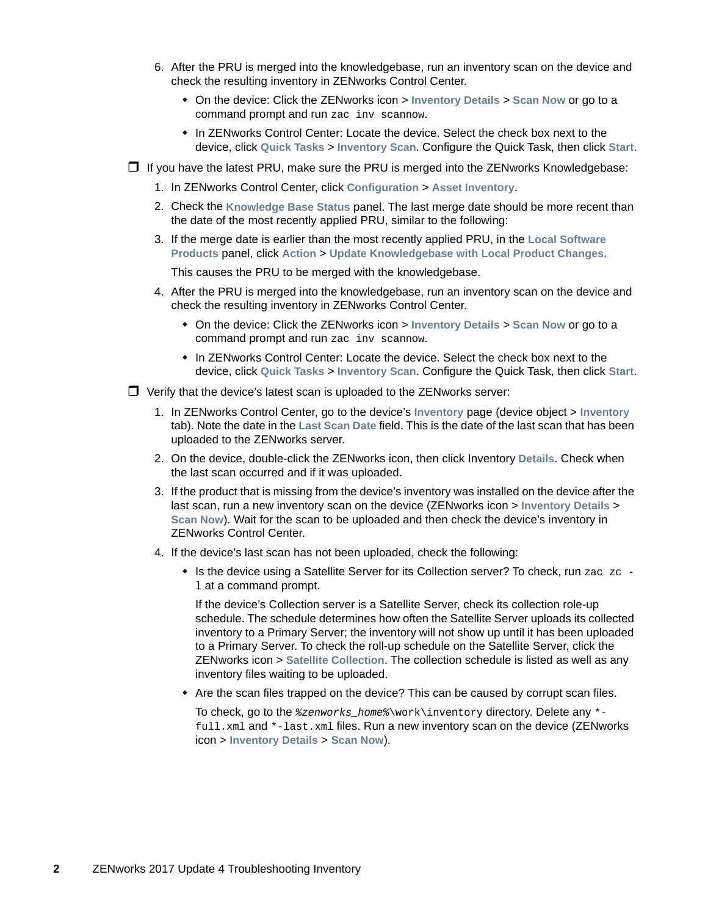- 6. After the PRU is merged into the knowledgebase, run an inventory scan on the device and check the resulting inventory in ZENworks Control Center.
	- On the device: Click the ZENworks icon > **Inventory Details** > **Scan Now** or go to a command prompt and run zac inv scannow.
	- In ZENworks Control Center: Locate the device. Select the check box next to the device, click **Quick Tasks** > **Inventory Scan**. Configure the Quick Task, then click **Start**.
- $\Box$  If you have the latest PRU, make sure the PRU is merged into the ZENworks Knowledgebase:
	- 1. In ZENworks Control Center, click **Configuration** > **Asset Inventory**.
	- 2. Check the **Knowledge Base Status** panel. The last merge date should be more recent than the date of the most recently applied PRU, similar to the following:
	- 3. If the merge date is earlier than the most recently applied PRU, in the **Local Software Products** panel, click **Action** > **Update Knowledgebase with Local Product Changes.**

This causes the PRU to be merged with the knowledgebase.

- 4. After the PRU is merged into the knowledgebase, run an inventory scan on the device and check the resulting inventory in ZENworks Control Center.
	- On the device: Click the ZENworks icon > **Inventory Details** > **Scan Now** or go to a command prompt and run zac inv scannow.
	- In ZENworks Control Center: Locate the device. Select the check box next to the device, click **Quick Tasks** > **Inventory Scan**. Configure the Quick Task, then click **Start**.
- $\Box$  Verify that the device's latest scan is uploaded to the ZENworks server:
	- 1. In ZENworks Control Center, go to the device's **Inventory** page (device object > **Inventory** tab). Note the date in the **Last Scan Date** field. This is the date of the last scan that has been uploaded to the ZENworks server.
	- 2. On the device, double-click the ZENworks icon, then click Inventory **Details**. Check when the last scan occurred and if it was uploaded.
	- 3. If the product that is missing from the device's inventory was installed on the device after the last scan, run a new inventory scan on the device (ZENworks icon > **Inventory Details** > **Scan Now**). Wait for the scan to be uploaded and then check the device's inventory in ZENworks Control Center.
	- 4. If the device's last scan has not been uploaded, check the following:
		- $\bullet$  Is the device using a Satellite Server for its Collection server? To check, run zac zc l at a command prompt.

If the device's Collection server is a Satellite Server, check its collection role-up schedule. The schedule determines how often the Satellite Server uploads its collected inventory to a Primary Server; the inventory will not show up until it has been uploaded to a Primary Server. To check the roll-up schedule on the Satellite Server, click the ZENworks icon > **Satellite Collection**. The collection schedule is listed as well as any inventory files waiting to be uploaded.

Are the scan files trapped on the device? This can be caused by corrupt scan files.

To check, go to the *%zenworks\_home%*\work\inventory directory. Delete any \* full.xml and \*-last.xml files. Run a new inventory scan on the device (ZENworks icon > **Inventory Details** > **Scan Now**).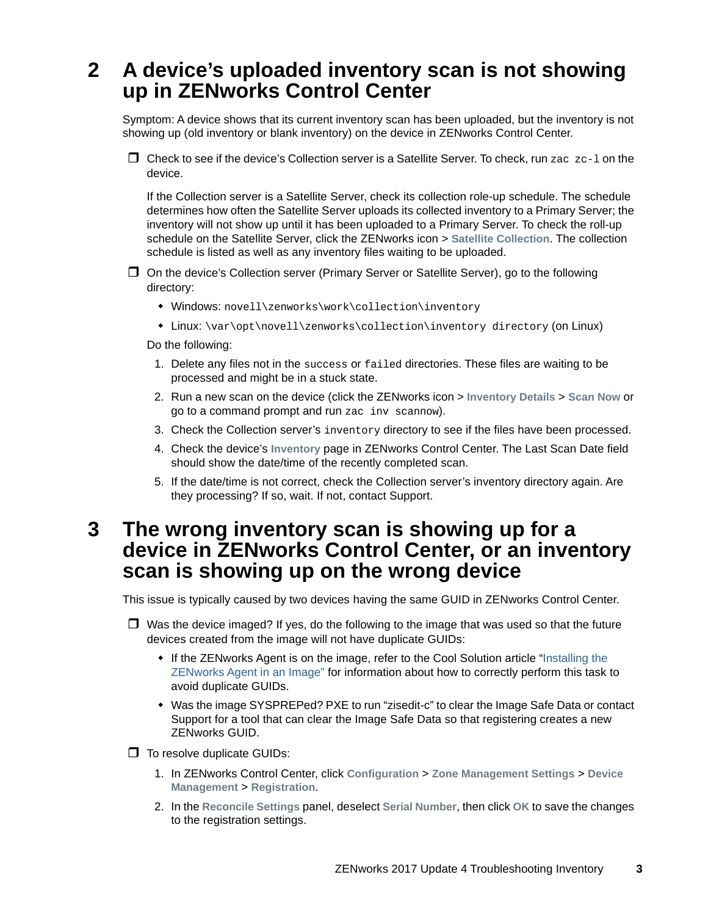## <span id="page-2-0"></span>**2 A device's uploaded inventory scan is not showing up in ZENworks Control Center**

Symptom: A device shows that its current inventory scan has been uploaded, but the inventory is not showing up (old inventory or blank inventory) on the device in ZENworks Control Center.

 $\Box$  Check to see if the device's Collection server is a Satellite Server. To check, run zac zc-1 on the device.

If the Collection server is a Satellite Server, check its collection role-up schedule. The schedule determines how often the Satellite Server uploads its collected inventory to a Primary Server; the inventory will not show up until it has been uploaded to a Primary Server. To check the roll-up schedule on the Satellite Server, click the ZENworks icon > **Satellite Collection**. The collection schedule is listed as well as any inventory files waiting to be uploaded.

- On the device's Collection server (Primary Server or Satellite Server), go to the following directory:
	- Windows: novell\zenworks\work\collection\inventory
	- Linux: \var\opt\novell\zenworks\collection\inventory directory (on Linux)

Do the following:

- 1. Delete any files not in the success or failed directories. These files are waiting to be processed and might be in a stuck state.
- 2. Run a new scan on the device (click the ZENworks icon > **Inventory Details** > **Scan Now** or go to a command prompt and run zac inv scannow).
- 3. Check the Collection server's inventory directory to see if the files have been processed.
- 4. Check the device's **Inventory** page in ZENworks Control Center. The Last Scan Date field should show the date/time of the recently completed scan.
- 5. If the date/time is not correct, check the Collection server's inventory directory again. Are they processing? If so, wait. If not, contact Support.

### <span id="page-2-1"></span>**3 The wrong inventory scan is showing up for a device in ZENworks Control Center, or an inventory scan is showing up on the wrong device**

This issue is typically caused by two devices having the same GUID in ZENworks Control Center.

- $\Box$  Was the device imaged? If yes, do the following to the image that was used so that the future devices created from the image will not have duplicate GUIDs:
	- If the ZENworks Agent is on the image, refer to the Cool Solution article "Installing the [ZENworks Agent in an Image"](https://www.novell.com/communities/coolsolutions/cool_tools/zcm-imaging-installing-zen-adaptive-agent-image/) for information about how to correctly perform this task to avoid duplicate GUIDs.
	- Was the image SYSPREPed? PXE to run "zisedit-c" to clear the Image Safe Data or contact Support for a tool that can clear the Image Safe Data so that registering creates a new ZENworks GUID.

 $\Box$  To resolve duplicate GUIDs:

- 1. In ZENworks Control Center, click **Configuration** > **Zone Management Settings** > **Device Management** > **Registration**.
- 2. In the **Reconcile Settings** panel, deselect **Serial Number**, then click **OK** to save the changes to the registration settings.